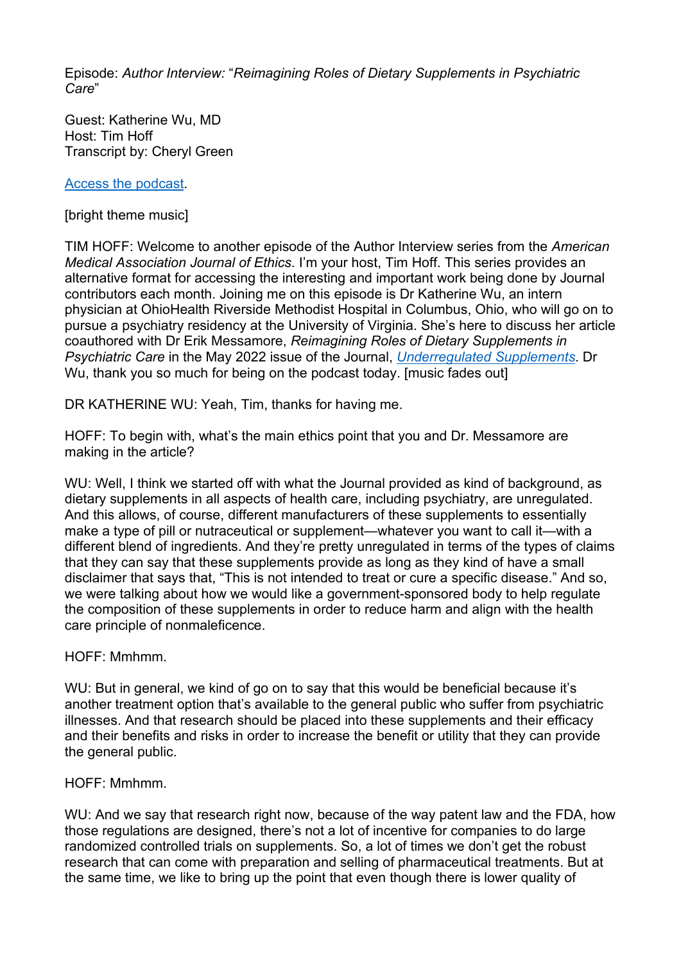Episode: *Author Interview:* "*Reimagining Roles of Dietary Supplements in Psychiatric Care*"

Guest: Katherine Wu, MD Host: Tim Hoff Transcript by: Cheryl Green

[Access the podcast.](https://journalofethics.ama-assn.org/podcast/author-interview-reimagining-roles-dietary-supplements-psychiatric-care)

[bright theme music]

TIM HOFF: Welcome to another episode of the Author Interview series from the *American Medical Association Journal of Ethics*. I'm your host, Tim Hoff. This series provides an alternative format for accessing the interesting and important work being done by Journal contributors each month. Joining me on this episode is Dr Katherine Wu, an intern physician at OhioHealth Riverside Methodist Hospital in Columbus, Ohio, who will go on to pursue a psychiatry residency at the University of Virginia. She's here to discuss her article coauthored with Dr Erik Messamore, *Reimagining Roles of Dietary Supplements in Psychiatric Care* in the May 2022 issue of the Journal, *[Underregulated Supplements](https://journalofethics.ama-assn.org/issue/unregulated-supplements)*. Dr Wu, thank you so much for being on the podcast today. [music fades out]

DR KATHERINE WU: Yeah, Tim, thanks for having me.

HOFF: To begin with, what's the main ethics point that you and Dr. Messamore are making in the article?

WU: Well, I think we started off with what the Journal provided as kind of background, as dietary supplements in all aspects of health care, including psychiatry, are unregulated. And this allows, of course, different manufacturers of these supplements to essentially make a type of pill or nutraceutical or supplement—whatever you want to call it—with a different blend of ingredients. And they're pretty unregulated in terms of the types of claims that they can say that these supplements provide as long as they kind of have a small disclaimer that says that, "This is not intended to treat or cure a specific disease." And so, we were talking about how we would like a government-sponsored body to help regulate the composition of these supplements in order to reduce harm and align with the health care principle of nonmaleficence.

HOFF: Mmhmm.

WU: But in general, we kind of go on to say that this would be beneficial because it's another treatment option that's available to the general public who suffer from psychiatric illnesses. And that research should be placed into these supplements and their efficacy and their benefits and risks in order to increase the benefit or utility that they can provide the general public.

HOFF: Mmhmm.

WU: And we say that research right now, because of the way patent law and the FDA, how those regulations are designed, there's not a lot of incentive for companies to do large randomized controlled trials on supplements. So, a lot of times we don't get the robust research that can come with preparation and selling of pharmaceutical treatments. But at the same time, we like to bring up the point that even though there is lower quality of